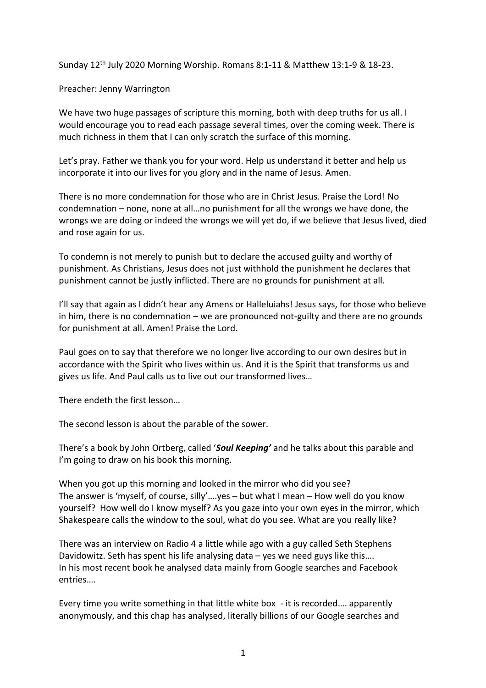Sunday 12th July 2020 Morning Worship. Romans 8:1-11 & Matthew 13:1-9 & 18-23.

Preacher: Jenny Warrington

We have two huge passages of scripture this morning, both with deep truths for us all. I would encourage you to read each passage several times, over the coming week. There is much richness in them that I can only scratch the surface of this morning.

Let's pray. Father we thank you for your word. Help us understand it better and help us incorporate it into our lives for you glory and in the name of Jesus. Amen.

There is no more condemnation for those who are in Christ Jesus. Praise the Lord! No condemnation – none, none at all…no punishment for all the wrongs we have done, the wrongs we are doing or indeed the wrongs we will yet do, if we believe that Jesus lived, died and rose again for us.

To condemn is not merely to punish but to declare the accused guilty and worthy of punishment. As Christians, Jesus does not just withhold the punishment he declares that punishment cannot be justly inflicted. There are no grounds for punishment at all.

I'll say that again as I didn't hear any Amens or Halleluiahs! Jesus says, for those who believe in him, there is no condemnation – we are pronounced not-guilty and there are no grounds for punishment at all. Amen! Praise the Lord.

Paul goes on to say that therefore we no longer live according to our own desires but in accordance with the Spirit who lives within us. And it is the Spirit that transforms us and gives us life. And Paul calls us to live out our transformed lives…

There endeth the first lesson…

The second lesson is about the parable of the sower.

There's a book by John Ortberg, called '*Soul Keeping'* and he talks about this parable and I'm going to draw on his book this morning.

When you got up this morning and looked in the mirror who did you see? The answer is 'myself, of course, silly'….yes – but what I mean – How well do you know yourself? How well do I know myself? As you gaze into your own eyes in the mirror, which Shakespeare calls the window to the soul, what do you see. What are you really like?

There was an interview on Radio 4 a little while ago with a guy called Seth Stephens Davidowitz. Seth has spent his life analysing data – yes we need guys like this…. In his most recent book he analysed data mainly from Google searches and Facebook entries….

Every time you write something in that little white box - it is recorded…. apparently anonymously, and this chap has analysed, literally billions of our Google searches and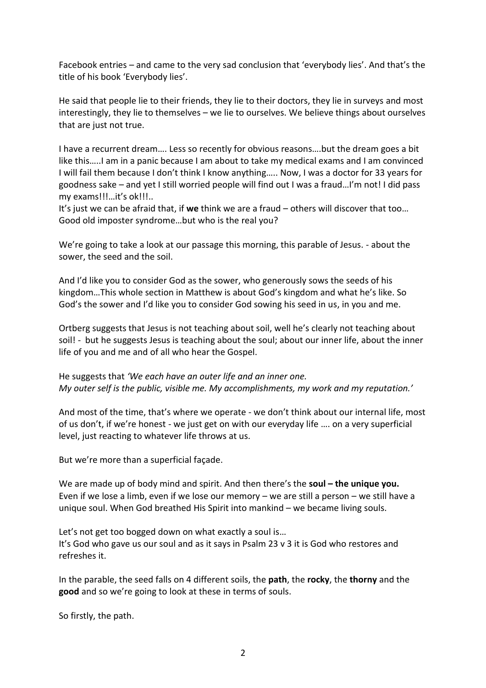Facebook entries – and came to the very sad conclusion that 'everybody lies'. And that's the title of his book 'Everybody lies'.

He said that people lie to their friends, they lie to their doctors, they lie in surveys and most interestingly, they lie to themselves – we lie to ourselves. We believe things about ourselves that are just not true.

I have a recurrent dream…. Less so recently for obvious reasons….but the dream goes a bit like this…..I am in a panic because I am about to take my medical exams and I am convinced I will fail them because I don't think I know anything….. Now, I was a doctor for 33 years for goodness sake – and yet I still worried people will find out I was a fraud…I'm not! I did pass my exams!!!…it's ok!!!..

It's just we can be afraid that, if **we** think we are a fraud – others will discover that too… Good old imposter syndrome…but who is the real you?

We're going to take a look at our passage this morning, this parable of Jesus. - about the sower, the seed and the soil.

And I'd like you to consider God as the sower, who generously sows the seeds of his kingdom…This whole section in Matthew is about God's kingdom and what he's like. So God's the sower and I'd like you to consider God sowing his seed in us, in you and me.

Ortberg suggests that Jesus is not teaching about soil, well he's clearly not teaching about soil! - but he suggests Jesus is teaching about the soul; about our inner life, about the inner life of you and me and of all who hear the Gospel.

He suggests that *'We each have an outer life and an inner one. My outer self is the public, visible me. My accomplishments, my work and my reputation.'*

And most of the time, that's where we operate - we don't think about our internal life, most of us don't, if we're honest - we just get on with our everyday life …. on a very superficial level, just reacting to whatever life throws at us.

But we're more than a superficial façade.

We are made up of body mind and spirit. And then there's the **soul – the unique you.** Even if we lose a limb, even if we lose our memory – we are still a person – we still have a unique soul. When God breathed His Spirit into mankind – we became living souls.

Let's not get too bogged down on what exactly a soul is… It's God who gave us our soul and as it says in Psalm 23 v 3 it is God who restores and refreshes it.

In the parable, the seed falls on 4 different soils, the **path**, the **rocky**, the **thorny** and the **good** and so we're going to look at these in terms of souls.

So firstly, the path.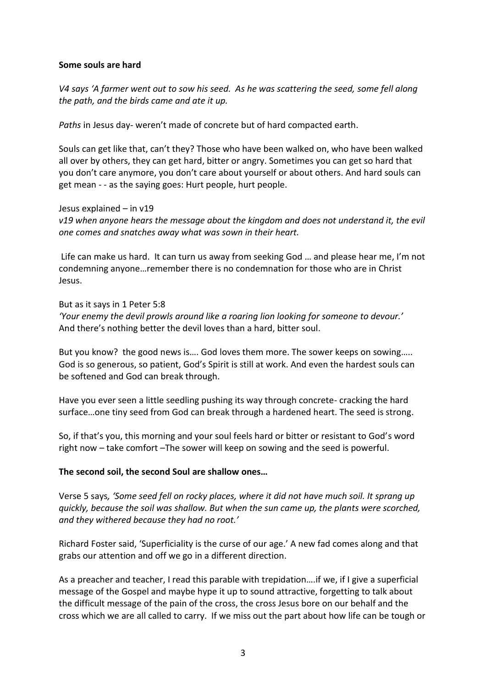## **Some souls are hard**

*V4 says 'A farmer went out to sow his seed. As he was scattering the seed, some fell along the path, and the birds came and ate it up.*

*Paths* in Jesus day- weren't made of concrete but of hard compacted earth.

Souls can get like that, can't they? Those who have been walked on, who have been walked all over by others, they can get hard, bitter or angry. Sometimes you can get so hard that you don't care anymore, you don't care about yourself or about others. And hard souls can get mean - - as the saying goes: Hurt people, hurt people.

Jesus explained – in v19

*v19 when anyone hears the message about the kingdom and does not understand it, the evil one comes and snatches away what was sown in their heart.*

Life can make us hard. It can turn us away from seeking God … and please hear me, I'm not condemning anyone…remember there is no condemnation for those who are in Christ Jesus.

But as it says in 1 Peter 5:8 *'Your enemy the devil prowls around like a roaring lion looking for someone to devour.'* And there's nothing better the devil loves than a hard, bitter soul.

But you know? the good news is…. God loves them more. The sower keeps on sowing….. God is so generous, so patient, God's Spirit is still at work. And even the hardest souls can be softened and God can break through.

Have you ever seen a little seedling pushing its way through concrete- cracking the hard surface…one tiny seed from God can break through a hardened heart. The seed is strong.

So, if that's you, this morning and your soul feels hard or bitter or resistant to God's word right now – take comfort –The sower will keep on sowing and the seed is powerful.

## **The second soil, the second Soul are shallow ones…**

Verse 5 says*, 'Some seed fell on rocky places, where it did not have much soil. It sprang up quickly, because the soil was shallow. But when the sun came up, the plants were scorched, and they withered because they had no root.'*

Richard Foster said, 'Superficiality is the curse of our age.' A new fad comes along and that grabs our attention and off we go in a different direction.

As a preacher and teacher, I read this parable with trepidation….if we, if I give a superficial message of the Gospel and maybe hype it up to sound attractive, forgetting to talk about the difficult message of the pain of the cross, the cross Jesus bore on our behalf and the cross which we are all called to carry. If we miss out the part about how life can be tough or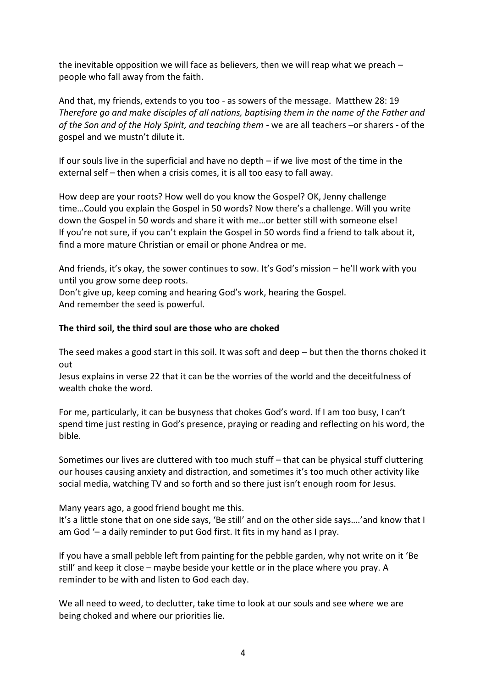the inevitable opposition we will face as believers, then we will reap what we preach – people who fall away from the faith.

And that, my friends, extends to you too - as sowers of the message. Matthew 28: 19 *Therefore go and make disciples of all nations, baptising them in the name of the Father and of the Son and of the Holy Spirit, and teaching them* - we are all teachers –or sharers - of the gospel and we mustn't dilute it.

If our souls live in the superficial and have no depth – if we live most of the time in the external self – then when a crisis comes, it is all too easy to fall away.

How deep are your roots? How well do you know the Gospel? OK, Jenny challenge time…Could you explain the Gospel in 50 words? Now there's a challenge. Will you write down the Gospel in 50 words and share it with me…or better still with someone else! If you're not sure, if you can't explain the Gospel in 50 words find a friend to talk about it, find a more mature Christian or email or phone Andrea or me.

And friends, it's okay, the sower continues to sow. It's God's mission – he'll work with you until you grow some deep roots.

Don't give up, keep coming and hearing God's work, hearing the Gospel. And remember the seed is powerful.

## **The third soil, the third soul are those who are choked**

The seed makes a good start in this soil. It was soft and deep – but then the thorns choked it out

Jesus explains in verse 22 that it can be the worries of the world and the deceitfulness of wealth choke the word.

For me, particularly, it can be busyness that chokes God's word. If I am too busy, I can't spend time just resting in God's presence, praying or reading and reflecting on his word, the bible.

Sometimes our lives are cluttered with too much stuff – that can be physical stuff cluttering our houses causing anxiety and distraction, and sometimes it's too much other activity like social media, watching TV and so forth and so there just isn't enough room for Jesus.

Many years ago, a good friend bought me this.

It's a little stone that on one side says, 'Be still' and on the other side says….'and know that I am God '– a daily reminder to put God first. It fits in my hand as I pray.

If you have a small pebble left from painting for the pebble garden, why not write on it 'Be still' and keep it close – maybe beside your kettle or in the place where you pray. A reminder to be with and listen to God each day.

We all need to weed, to declutter, take time to look at our souls and see where we are being choked and where our priorities lie.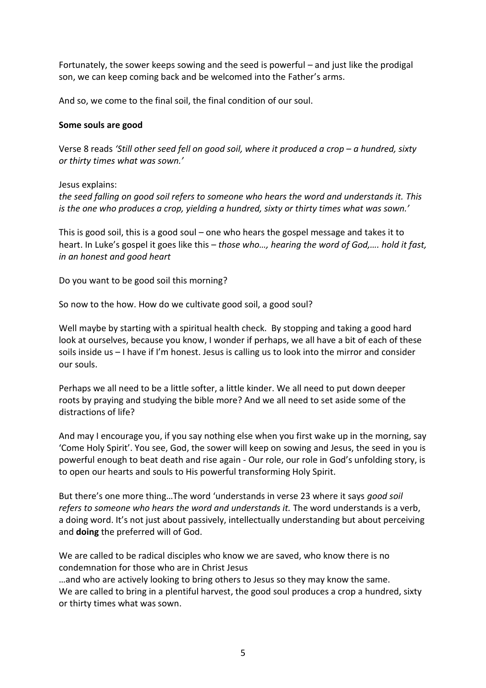Fortunately, the sower keeps sowing and the seed is powerful – and just like the prodigal son, we can keep coming back and be welcomed into the Father's arms.

And so, we come to the final soil, the final condition of our soul.

## **Some souls are good**

Verse 8 reads 'Still other seed fell on good soil, where it produced a crop - a hundred, sixty *or thirty times what was sown.'*

Jesus explains:

*the seed falling on good soil refers to someone who hears the word and understands it. This is the one who produces a crop, yielding a hundred, sixty or thirty times what was sown.'*

This is good soil, this is a good soul – one who hears the gospel message and takes it to heart. In Luke's gospel it goes like this – *those who…, hearing the word of God,…. hold it fast, in an honest and good heart*

Do you want to be good soil this morning?

So now to the how. How do we cultivate good soil, a good soul?

Well maybe by starting with a spiritual health check. By stopping and taking a good hard look at ourselves, because you know, I wonder if perhaps, we all have a bit of each of these soils inside us – I have if I'm honest. Jesus is calling us to look into the mirror and consider our souls.

Perhaps we all need to be a little softer, a little kinder. We all need to put down deeper roots by praying and studying the bible more? And we all need to set aside some of the distractions of life?

And may I encourage you, if you say nothing else when you first wake up in the morning, say 'Come Holy Spirit'. You see, God, the sower will keep on sowing and Jesus, the seed in you is powerful enough to beat death and rise again - Our role, our role in God's unfolding story, is to open our hearts and souls to His powerful transforming Holy Spirit.

But there's one more thing…The word 'understands in verse 23 where it says *good soil refers to someone who hears the word and understands it.* The word understands is a verb, a doing word. It's not just about passively, intellectually understanding but about perceiving and **doing** the preferred will of God.

We are called to be radical disciples who know we are saved, who know there is no condemnation for those who are in Christ Jesus

…and who are actively looking to bring others to Jesus so they may know the same. We are called to bring in a plentiful harvest, the good soul produces a crop a hundred, sixty or thirty times what was sown.